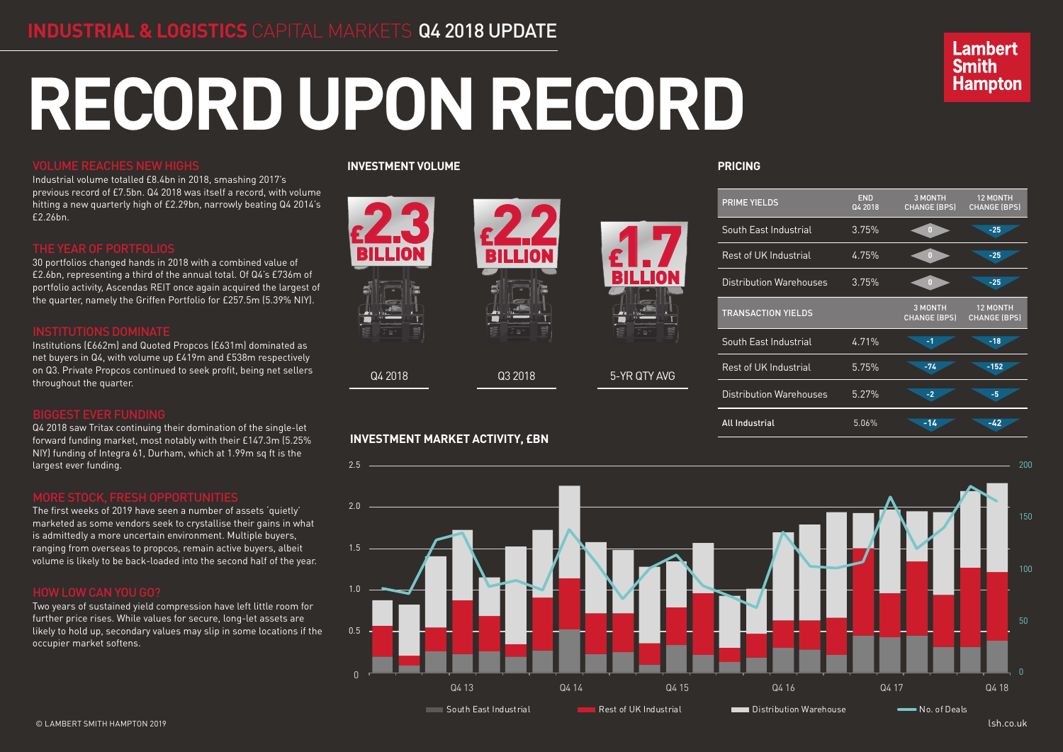# **RECORD UPON RECORD**

## VOLUME REACHES NEW HIGHS

Industrial volume totalled £8.4bn in 2018, smashing 2017's previous record of £7.5bn. Q4 2018 was itself a record, with volume hitting a new quarterly high of £2.29bn, narrowly beating Q4 2014's £2.26bn.

Q4 2018 saw Tritax continuing their domination of the single-let forward funding market, most notably with their £147.3m (5.25% NIY) funding of Integra 61, Durham, which at 1.99m sq ft is the ...., .anang or meg.<br>largest ever funding.

30 portfolios changed hands in 2018 with a combined value of £2.6bn, representing a third of the annual total. Of Q4's £736m of portfolio activity, Ascendas REIT once again acquired the largest of the quarter, namely the Griffen Portfolio for £257.5m (5.39% NIY).

Institutions (£662m) and Quoted Propcos (£631m) dominated as net buyers in Q4, with volume up £419m and £538m respectively on Q3. Private Propcos continued to seek profit, being net sellers throughout the quarter.

#### BIGGEST EVER FUNDING

The first weeks of 2019 have seen a number of assets 'quietly' marketed as some vendors seek to crystallise their gains in what is admittedly a more uncertain environment. Multiple buyers, ranging from overseas to propcos, remain active buyers, albeit 1.5 volume is likely to be back-loaded into the second half of the year.



Two years of sustained yield compression have left little room for further price rises. While values for secure, long-let assets are likely to hold up, secondary values may slip in some locations if the occupier market softens.

**PRICING**

## **Lambert Smith Hampton**



#### **INVESTMENT VOLUME**



### **INVESTMENT MARKET ACTIVITY, £BN**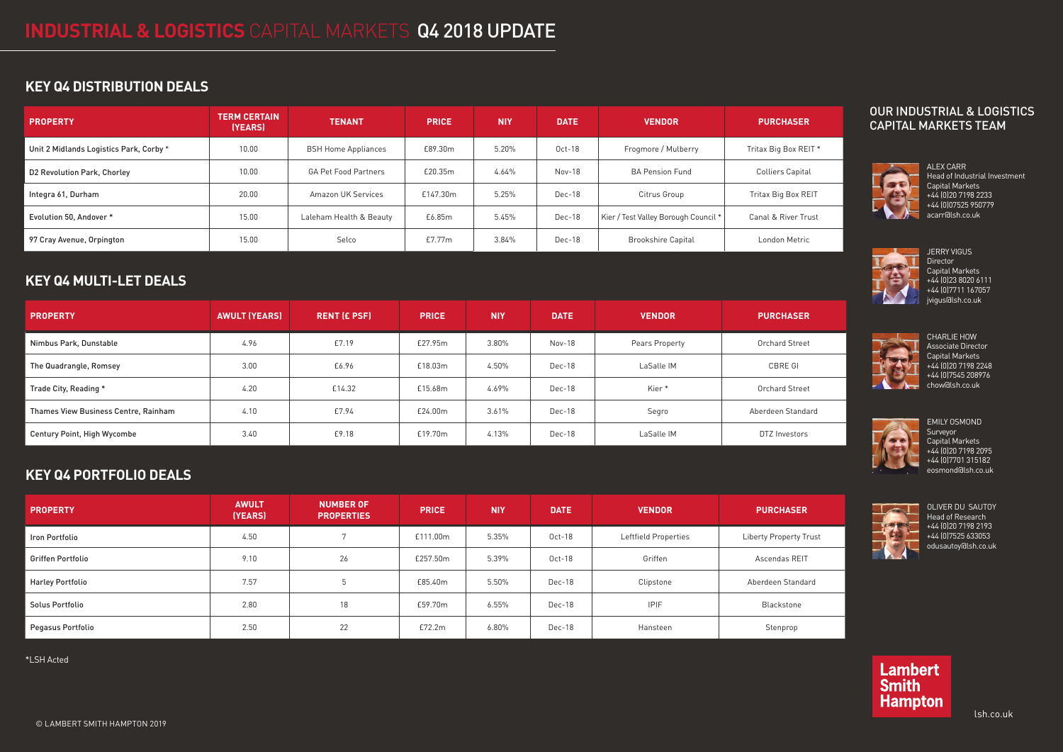lsh.co.uk

## **KEY Q4 DISTRIBUTION DEALS**

## **KEY Q4 MULTI-LET DEALS**

## **KEY Q4 PORTFOLIO DEALS**

\*LSH Acted

| <b>PROPERTY</b>                         | <b>TERM CERTAIN</b><br>(YEARS) | <b>TENANT</b>               | <b>PRICE</b> | <b>NIY</b> | <b>DATE</b> | <b>VENDOR</b>                        | <b>PURCHASER</b>               |
|-----------------------------------------|--------------------------------|-----------------------------|--------------|------------|-------------|--------------------------------------|--------------------------------|
| Unit 2 Midlands Logistics Park, Corby * | 10.00                          | <b>BSH Home Appliances</b>  | £89.30m      | 5.20%      | $Oct-18$    | Frogmore / Mulberry                  | Tritax Big Box REIT *          |
| D2 Revolution Park, Chorley             | 10.00                          | <b>GA Pet Food Partners</b> | £20.35m      | 4.64%      | Nov-18      | <b>BA Pension Fund</b>               | <b>Colliers Capital</b>        |
| Integra 61, Durham                      | 20.00                          | <b>Amazon UK Services</b>   | £147.30m     | 5.25%      | Dec-18      | Citrus Group                         | Tritax Big Box REIT            |
| Evolution 50. Andover *                 | 15.00                          | Laleham Health & Beauty     | £6.85m       | 5.45%      | Dec-18      | Kier / Test Valley Borough Council * | <b>Canal &amp; River Trust</b> |
| 97 Cray Avenue, Orpington               | 15.00                          | Selco                       | E7.77m       | 3.84%      | Dec-18      | <b>Brookshire Capital</b>            | London Metric                  |

| <b>PROPERTY</b>                      | <b>AWULT (YEARS)</b> | <b>RENT (£ PSF)</b> | <b>PRICE</b> | <b>NIY</b> | <b>DATE</b> | <b>VENDOR</b>     | <b>PURCHASER</b>      |
|--------------------------------------|----------------------|---------------------|--------------|------------|-------------|-------------------|-----------------------|
| Nimbus Park, Dunstable               | 4.96                 | £7.19               | £27.95m      | 3.80%      | Nov-18      | Pears Property    | <b>Orchard Street</b> |
| The Quadrangle, Romsey               | 3.00                 | £6.96               | £18.03m      | 4.50%      | Dec-18      | LaSalle IM        | CBRE GI               |
| Trade City, Reading *                | 4.20                 | £14.32              | £15.68m      | 4.69%      | Dec-18      | Kier <sup>*</sup> | <b>Orchard Street</b> |
| Thames View Business Centre, Rainham | 4.10                 | £7.94               | £24.00m      | 3.61%      | Dec-18      | Segro             | Aberdeen Standard     |
| <b>Century Point, High Wycombe</b>   | 3.40                 | £9.18               | £19.70m      | 4.13%      | Dec-18      | LaSalle IM        | DTZ Investors         |

| <b>PROPERTY</b>          | <b>AWULT</b><br>(YEARS) | <b>NUMBER OF</b><br><b>PROPERTIES</b> | <b>PRICE</b> | <b>NIY</b> | <b>DATE</b> | <b>VENDOR</b>        | <b>PURCHASER</b>              |
|--------------------------|-------------------------|---------------------------------------|--------------|------------|-------------|----------------------|-------------------------------|
| Iron Portfolio           | 4.50                    |                                       | £111.00m     | 5.35%      | $Oct-18$    | Leftfield Properties | <b>Liberty Property Trust</b> |
| <b>Griffen Portfolio</b> | 9.10                    | 26                                    | £257.50m     | 5.39%      | $Oct-18$    | Griffen              | Ascendas REIT                 |
| <b>Harley Portfolio</b>  | 7.57                    |                                       | £85.40m      | 5.50%      | Dec-18      | Clipstone            | Aberdeen Standard             |
| Solus Portfolio          | 2.80                    | 18                                    | £59.70m      | 6.55%      | Dec-18      | <b>IPIF</b>          | Blackstone                    |
| Pegasus Portfolio        | 2.50                    | 22                                    | £72.2m       | 6.80%      | Dec-18      | Hansteen             | Stenprop                      |

#### OUR INDUSTRIAL & LOGISTICS CAPITAL MARKETS TEAM



ALEX CARR Head of Industrial Investment Capital Markets +44 (0)20 7198 2233 +44 (0)07525 950779 acarr@lsh.co.uk



EMILY OSMOND **Surveyor** Capital Markets +44 (0)20 7198 2095 +44 (0)7701 315182 eosmond@lsh.co.uk



OLIVER DU SAUTOY Head of Research +44 (0)20 7198 2193 +44 (0)7525 633053 odusautoy@lsh.co.uk



CHARLIE HOW Associate Director Capital Markets +44 (0)20 7198 2248 +44 (0)7545 208976 chow@lsh.co.uk



JERRY VIGUS Director Capital Markets +44 (0)23 8020 6111 +44 (0)7711 167057 jvigus@lsh.co.uk